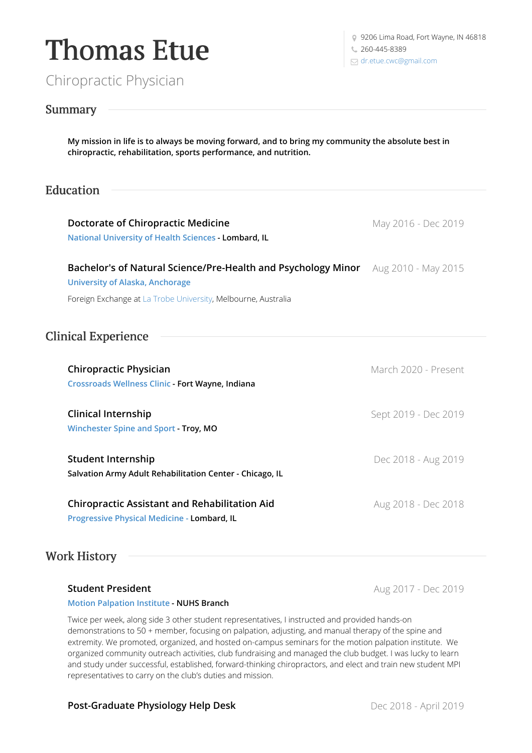

Chiropractic Physician

9 9206 Lima Road, Fort Wayne, IN 46818

### Summary

My mission in life is to always be moving forward, and to bring my community the absolute best in **chiropractic, rehabilitation, sports performance, and nutrition.**

# Education

| <b>Doctorate of Chiropractic Medicine</b><br>National University of Health Sciences - Lombard, IL                           | May 2016 - Dec 2019  |
|-----------------------------------------------------------------------------------------------------------------------------|----------------------|
| Bachelor's of Natural Science/Pre-Health and Psychology Minor Aug 2010 - May 2015<br><b>University of Alaska, Anchorage</b> |                      |
| Foreign Exchange at La Trobe University, Melbourne, Australia                                                               |                      |
| <b>Clinical Experience</b>                                                                                                  |                      |
| <b>Chiropractic Physician</b><br>Crossroads Wellness Clinic - Fort Wayne, Indiana                                           | March 2020 - Present |
| <b>Clinical Internship</b><br>Winchester Spine and Sport - Troy, MO                                                         | Sept 2019 - Dec 2019 |
| <b>Student Internship</b><br>Salvation Army Adult Rehabilitation Center - Chicago, IL                                       | Dec 2018 - Aug 2019  |
| <b>Chiropractic Assistant and Rehabilitation Aid</b><br>Progressive Physical Medicine - Lombard, IL                         | Aug 2018 - Dec 2018  |

## Work History

### **Student President**

Aug 2017 - Dec 2019

#### **Motion [Palpation](https://www.motionpalpation.org/) Institute - NUHS Branch**

Twice per week, along side 3 other student representatives, I instructed and provided hands-on demonstrations to 50 + member, focusing on palpation, adjusting, and manual therapy of the spine and extremity. We promoted, organized, and hosted on-campus seminars for the motion palpation institute. We organized community outreach activities, club fundraising and managed the club budget. I was lucky to learn and study under successful, established, forward-thinking chiropractors, and elect and train new student MPI representatives to carry on the club's duties and mission.

### **Post-Graduate Physiology Help Desk**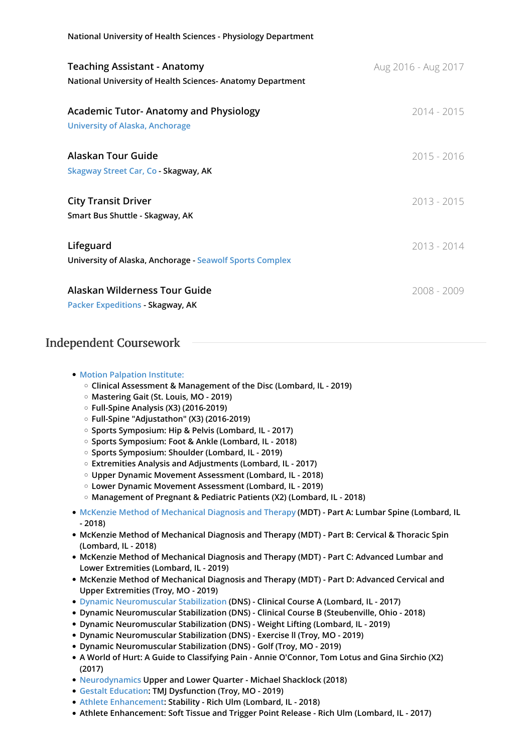| National University of Health Sciences - Physiology Department                                    |                     |
|---------------------------------------------------------------------------------------------------|---------------------|
| <b>Teaching Assistant - Anatomy</b><br>National University of Health Sciences- Anatomy Department | Aug 2016 - Aug 2017 |
| <b>Academic Tutor- Anatomy and Physiology</b><br><b>University of Alaska, Anchorage</b>           | 2014 - 2015         |
| Alaskan Tour Guide<br>Skagway Street Car, Co - Skagway, AK                                        | 2015 - 2016         |
| <b>City Transit Driver</b><br>Smart Bus Shuttle - Skagway, AK                                     | $2013 - 2015$       |
| Lifeguard<br><b>University of Alaska, Anchorage - Seawolf Sports Complex</b>                      | $2013 - 2014$       |
| Alaskan Wilderness Tour Guide<br>Packer Expeditions - Skagway, AK                                 | $2008 - 2009$       |

## Independent Coursework

| • Motion Palpation Institute: |
|-------------------------------|
|-------------------------------|

- **Clinical Assessment & Management of the Disc (Lombard, IL - 2019)**
- **Mastering Gait (St. Louis, MO - 2019)**
- **Full-Spine Analysis (X3) (2016-2019)**
- **Full-Spine "Adjustathon" (X3) (2016-2019)**
- **Sports Symposium: Hip & Pelvis (Lombard, IL - 2017)**
- **Sports Symposium: Foot & Ankle (Lombard, IL - 2018)**
- **Sports Symposium: Shoulder (Lombard, IL - 2019)**
- **Extremities Analysis and Adjustments (Lombard, IL - 2017)**
- **Upper Dynamic Movement Assessment (Lombard, IL - 2018)**
- **Lower Dynamic Movement Assessment (Lombard, IL - 2019)**
- **Management of Pregnant & Pediatric Patients (X2) (Lombard, IL - 2018)**
- **McKenzie Method of [Mechanical](https://chiropractic.mckenzieinstitute.org/patients/) Diagnosis and Therapy (MDT) - Part A: Lumbar Spine (Lombard, IL - 2018)**
- **McKenzie Method of Mechanical Diagnosis and Therapy (MDT) - Part B: Cervical & Thoracic Spin (Lombard, IL - 2018)**
- **McKenzie Method of Mechanical Diagnosis and Therapy (MDT) - Part C: Advanced Lumbar and Lower Extremities (Lombard, IL - 2019)**
- **McKenzie Method of Mechanical Diagnosis and Therapy (MDT) - Part D: Advanced Cervical and Upper Extremities (Troy, MO - 2019)**
- **Dynamic [Neuromuscular](https://www.rehabps.com/REHABILITATION/Home.html) Stabilization (DNS) - Clinical Course A (Lombard, IL - 2017)**
- **Dynamic Neuromuscular Stabilization (DNS) - Clinical Course B (Steubenville, Ohio - 2018)**
- **Dynamic Neuromuscular Stabilization (DNS) - Weight Lifting (Lombard, IL - 2019)**
- **Dynamic Neuromuscular Stabilization (DNS) - Exercise ll (Troy, MO - 2019)**
- **Dynamic Neuromuscular Stabilization (DNS) - Golf (Troy, MO - 2019)**
- **A World of Hurt: A Guide to Classifying Pain - Annie O'Connor, Tom Lotus and Gina Sirchio (X2) (2017)**
- **[Neurodynamics](https://www.neurodynamicsolutions.com/) Upper and Lower Quarter - Michael Shacklock (2018)**
- **Gestalt [Education:](https://www.gestaltedu.com/) TMJ Dysfunction (Troy, MO - 2019)**
- **Athlete [Enhancement](http://www.athlete-enhancement.com/): Stability - Rich Ulm (Lombard, IL - 2018)**
- **Athlete Enhancement: Soft Tissue and Trigger Point Release - Rich Ulm (Lombard, IL - 2017)**